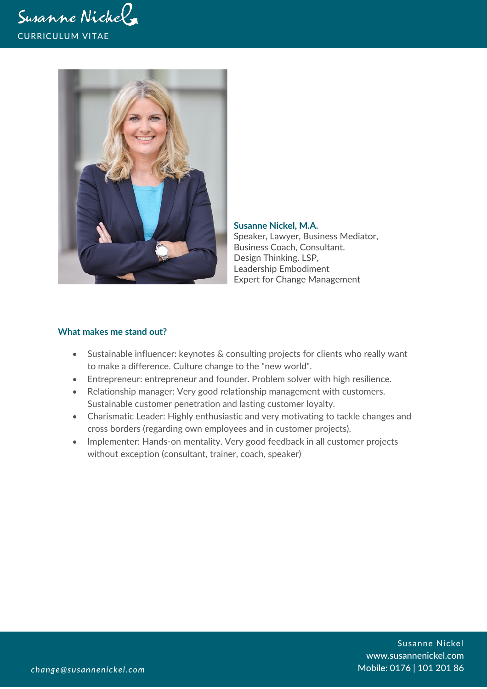



**Susanne Nickel, M.A.** Speaker, Lawyer, Business Mediator, Business Coach, Consultant. Design Thinking. LSP, Leadership Embodiment Expert for Change Management

#### **What makes me stand out?**

- Sustainable influencer: keynotes & consulting projects for clients who really want to make a difference. Culture change to the "new world".
- Entrepreneur: entrepreneur and founder. Problem solver with high resilience.
- Relationship manager: Very good relationship management with customers. Sustainable customer penetration and lasting customer loyalty.
- Charismatic Leader: Highly enthusiastic and very motivating to tackle changes and cross borders (regarding own employees and in customer projects).
- Implementer: Hands-on mentality. Very good feedback in all customer projects without exception (consultant, trainer, coach, speaker)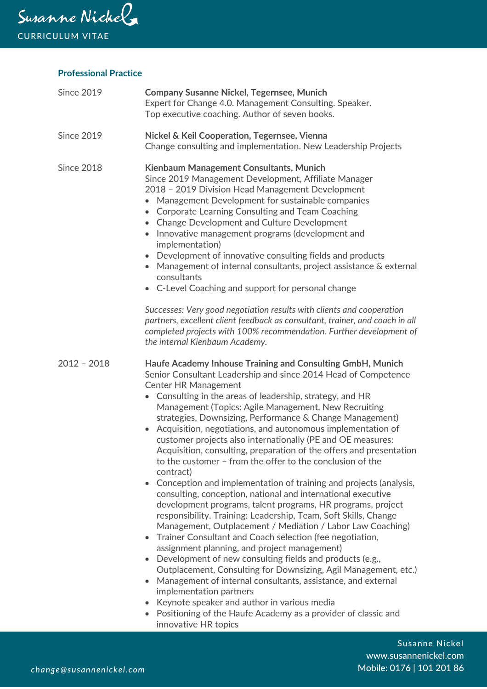

## **Professional Practice**

| <b>Since 2019</b> | <b>Company Susanne Nickel, Tegernsee, Munich</b><br>Expert for Change 4.0. Management Consulting. Speaker.<br>Top executive coaching. Author of seven books.                                                                                                                                                                                                                                                                                                                                                                                                                                                                                                                                                                                                                                                                                                                                                                                                                                                                                                                                                                                                                                                                                                                                                                                                                                                                                                                                                                              |
|-------------------|-------------------------------------------------------------------------------------------------------------------------------------------------------------------------------------------------------------------------------------------------------------------------------------------------------------------------------------------------------------------------------------------------------------------------------------------------------------------------------------------------------------------------------------------------------------------------------------------------------------------------------------------------------------------------------------------------------------------------------------------------------------------------------------------------------------------------------------------------------------------------------------------------------------------------------------------------------------------------------------------------------------------------------------------------------------------------------------------------------------------------------------------------------------------------------------------------------------------------------------------------------------------------------------------------------------------------------------------------------------------------------------------------------------------------------------------------------------------------------------------------------------------------------------------|
| <b>Since 2019</b> | Nickel & Keil Cooperation, Tegernsee, Vienna<br>Change consulting and implementation. New Leadership Projects                                                                                                                                                                                                                                                                                                                                                                                                                                                                                                                                                                                                                                                                                                                                                                                                                                                                                                                                                                                                                                                                                                                                                                                                                                                                                                                                                                                                                             |
| <b>Since 2018</b> | Kienbaum Management Consultants, Munich<br>Since 2019 Management Development, Affiliate Manager<br>2018 - 2019 Division Head Management Development<br>Management Development for sustainable companies<br>$\bullet$<br><b>Corporate Learning Consulting and Team Coaching</b><br>$\bullet$<br>• Change Development and Culture Development<br>Innovative management programs (development and<br>$\bullet$<br>implementation)<br>Development of innovative consulting fields and products<br>Management of internal consultants, project assistance & external<br>consultants<br>• C-Level Coaching and support for personal change                                                                                                                                                                                                                                                                                                                                                                                                                                                                                                                                                                                                                                                                                                                                                                                                                                                                                                      |
|                   | Successes: Very good negotiation results with clients and cooperation<br>partners, excellent client feedback as consultant, trainer, and coach in all<br>completed projects with 100% recommendation. Further development of<br>the internal Kienbaum Academy.                                                                                                                                                                                                                                                                                                                                                                                                                                                                                                                                                                                                                                                                                                                                                                                                                                                                                                                                                                                                                                                                                                                                                                                                                                                                            |
| $2012 - 2018$     | Haufe Academy Inhouse Training and Consulting GmbH, Munich<br>Senior Consultant Leadership and since 2014 Head of Competence<br><b>Center HR Management</b><br>Consulting in the areas of leadership, strategy, and HR<br>$\bullet$<br>Management (Topics: Agile Management, New Recruiting<br>strategies, Downsizing, Performance & Change Management)<br>Acquisition, negotiations, and autonomous implementation of<br>$\bullet$<br>customer projects also internationally (PE and OE measures:<br>Acquisition, consulting, preparation of the offers and presentation<br>to the customer - from the offer to the conclusion of the<br>contract)<br>Conception and implementation of training and projects (analysis,<br>$\bullet$<br>consulting, conception, national and international executive<br>development programs, talent programs, HR programs, project<br>responsibility. Training: Leadership, Team, Soft Skills, Change<br>Management, Outplacement / Mediation / Labor Law Coaching)<br>Trainer Consultant and Coach selection (fee negotiation,<br>$\bullet$<br>assignment planning, and project management)<br>Development of new consulting fields and products (e.g.,<br>$\bullet$<br>Outplacement, Consulting for Downsizing, Agil Management, etc.)<br>Management of internal consultants, assistance, and external<br>$\bullet$<br>implementation partners<br>Keynote speaker and author in various media<br>$\bullet$<br>• Positioning of the Haufe Academy as a provider of classic and<br>innovative HR topics |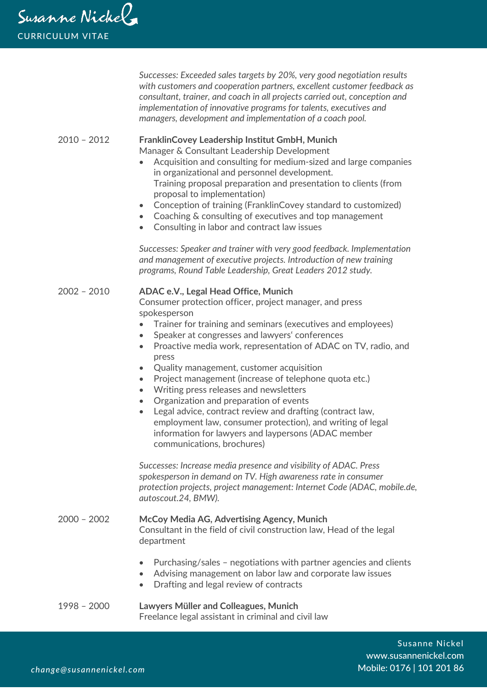*Successes: Exceeded sales targets by 20%, very good negotiation results with customers and cooperation partners, excellent customer feedback as consultant, trainer, and coach in all projects carried out, conception and implementation of innovative programs for talents, executives and managers, development and implementation of a coach pool.*

#### 2010 – 2012 **FranklinCovey Leadership Institut GmbH, Munich** Manager & Consultant Leadership Development

- Acquisition and consulting for medium-sized and large companies in organizational and personnel development. Training proposal preparation and presentation to clients (from proposal to implementation)
- Conception of training (FranklinCovey standard to customized)
- Coaching & consulting of executives and top management
- Consulting in labor and contract law issues

*Successes: Speaker and trainer with very good feedback. Implementation and management of executive projects. Introduction of new training programs, Round Table Leadership, Great Leaders 2012 study.*

### 2002 – 2010 **ADAC e.V., Legal Head Office, Munich**

Consumer protection officer, project manager, and press spokesperson

- Trainer for training and seminars (executives and employees)
- Speaker at congresses and lawyers' conferences
- Proactive media work, representation of ADAC on TV, radio, and press
- Quality management, customer acquisition
- Project management (increase of telephone quota etc.)
- Writing press releases and newsletters
- Organization and preparation of events
- Legal advice, contract review and drafting (contract law, employment law, consumer protection), and writing of legal information for lawyers and laypersons (ADAC member communications, brochures)

*Successes: Increase media presence and visibility of ADAC. Press spokesperson in demand on TV. High awareness rate in consumer protection projects, project management: Internet Code (ADAC, mobile.de, autoscout.24, BMW).*

## 2000 – 2002 **McCoy Media AG, Advertising Agency, Munich**

Consultant in the field of civil construction law, Head of the legal department

- Purchasing/sales negotiations with partner agencies and clients
- Advising management on labor law and corporate law issues
- Drafting and legal review of contracts
- 1998 2000 **Lawyers Müller and Colleagues, Munich** Freelance legal assistant in criminal and civil law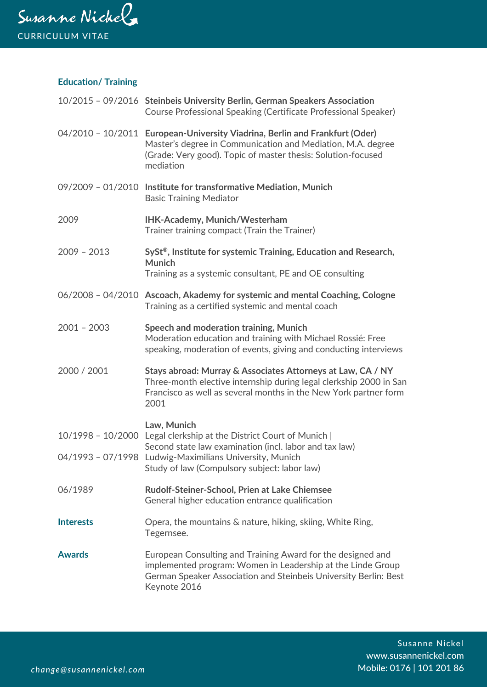

# **Education/ Training**

|                     | 10/2015 - 09/2016 Steinbeis University Berlin, German Speakers Association<br>Course Professional Speaking (Certificate Professional Speaker)                                                                           |
|---------------------|-------------------------------------------------------------------------------------------------------------------------------------------------------------------------------------------------------------------------|
|                     | 04/2010 - 10/2011 European-University Viadrina, Berlin and Frankfurt (Oder)<br>Master's degree in Communication and Mediation, M.A. degree<br>(Grade: Very good). Topic of master thesis: Solution-focused<br>mediation |
|                     | 09/2009 - 01/2010 Institute for transformative Mediation, Munich<br><b>Basic Training Mediator</b>                                                                                                                      |
| 2009                | IHK-Academy, Munich/Westerham<br>Trainer training compact (Train the Trainer)                                                                                                                                           |
| $2009 - 2013$       | SySt®, Institute for systemic Training, Education and Research,<br>Munich<br>Training as a systemic consultant, PE and OE consulting                                                                                    |
|                     | 06/2008 - 04/2010 Ascoach, Akademy for systemic and mental Coaching, Cologne<br>Training as a certified systemic and mental coach                                                                                       |
| $2001 - 2003$       | Speech and moderation training, Munich<br>Moderation education and training with Michael Rossié: Free<br>speaking, moderation of events, giving and conducting interviews                                               |
| 2000 / 2001         | Stays abroad: Murray & Associates Attorneys at Law, CA / NY<br>Three-month elective internship during legal clerkship 2000 in San<br>Francisco as well as several months in the New York partner form<br>2001           |
| $10/1998 - 10/2000$ | Law, Munich<br>Legal clerkship at the District Court of Munich                                                                                                                                                          |
|                     | Second state law examination (incl. labor and tax law)<br>04/1993 - 07/1998 Ludwig-Maximilians University, Munich<br>Study of law (Compulsory subject: labor law)                                                       |
| 06/1989             | Rudolf-Steiner-School, Prien at Lake Chiemsee<br>General higher education entrance qualification                                                                                                                        |
| <b>Interests</b>    | Opera, the mountains & nature, hiking, skiing, White Ring,<br>Tegernsee.                                                                                                                                                |
| <b>Awards</b>       | European Consulting and Training Award for the designed and<br>implemented program: Women in Leadership at the Linde Group<br>German Speaker Association and Steinbeis University Berlin: Best<br>Keynote 2016          |

Susanne Nickel www.susannenickel.com Mobile: 0176 | 101 201 86